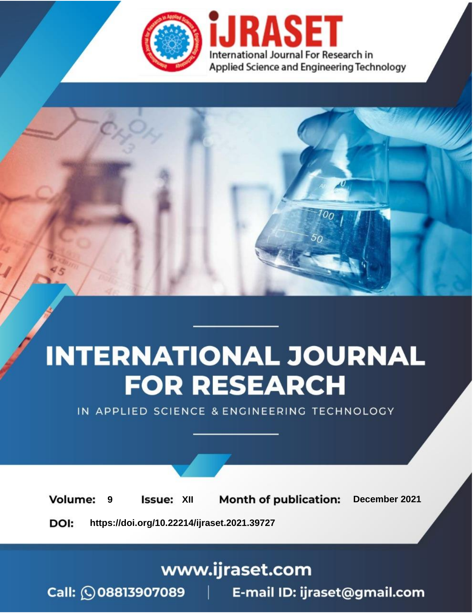

# **INTERNATIONAL JOURNAL FOR RESEARCH**

IN APPLIED SCIENCE & ENGINEERING TECHNOLOGY

**Month of publication: Volume: Issue: XII** December 2021 9 DOI: https://doi.org/10.22214/ijraset.2021.39727

www.ijraset.com

Call: 008813907089 | E-mail ID: ijraset@gmail.com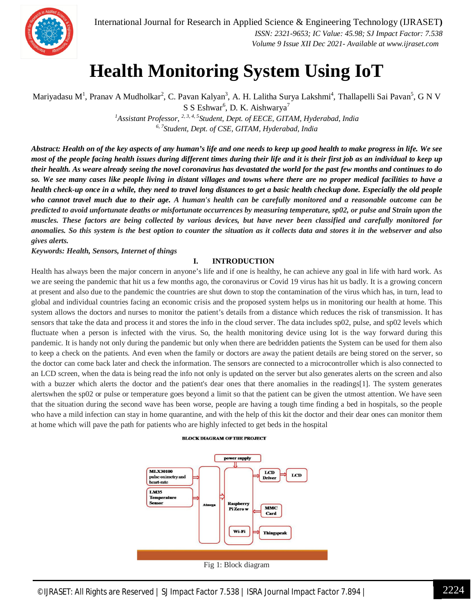

### **Health Monitoring System Using IoT**

Mariyadasu M<sup>1</sup>, Pranav A Mudholkar<sup>2</sup>, C. Pavan Kalyan<sup>3</sup>, A. H. Lalitha Surya Lakshmi<sup>4</sup>, Thallapelli Sai Pavan<sup>5</sup>, G N V  $S$  S Eshwar<sup>6</sup>, D. K. Aishwarya<sup>7</sup>

*<sup>1</sup>Assistant Professor, 2, 3, 4, 5Student, Dept. of EECE, GITAM, Hyderabad, India 6, 7Student, Dept. of CSE, GITAM, Hyderabad, India*

*Abstract: Health on of the key aspects of any human's life and one needs to keep up good health to make progress in life. We see most of the people facing health issues during different times during their life and it is their first job as an individual to keep up their health. As weare already seeing the novel coronavirus has devastated the world for the past few months and continues to do so. We see many cases like people living in distant villages and towns where there are no proper medical facilities to have a health check-up once in a while, they need to travel long distances to get a basic health checkup done. Especially the old people who cannot travel much due to their age. A human's health can be carefully monitored and a reasonable outcome can be predicted to avoid unfortunate deaths or misfortunate occurrences by measuring temperature, sp02, or pulse and Strain upon the muscles. These factors are being collected by various devices, but have never been classified and carefully monitored for*  anomalies. So this system is the best option to counter the situation as it collects data and stores it in the webserver and also *gives alerts.*

#### *Keywords: Health, Sensors, Internet of things*

#### **I. INTRODUCTION**

Health has always been the major concern in anyone's life and if one is healthy, he can achieve any goal in life with hard work. As we are seeing the pandemic that hit us a few months ago, the coronavirus or Covid 19 virus has hit us badly. It is a growing concern at present and also due to the pandemic the countries are shut down to stop the contamination of the virus which has, in turn, lead to global and individual countries facing an economic crisis and the proposed system helps us in monitoring our health at home. This system allows the doctors and nurses to monitor the patient's details from a distance which reduces the risk of transmission. It has sensors that take the data and process it and stores the info in the cloud server. The data includes sp02, pulse, and sp02 levels which fluctuate when a person is infected with the virus. So, the health monitoring device using Iot is the way forward during this pandemic. It is handy not only during the pandemic but only when there are bedridden patients the System can be used for them also to keep a check on the patients. And even when the family or doctors are away the patient details are being stored on the server, so the doctor can come back later and check the information. The sensors are connected to a microcontroller which is also connected to an LCD screen, when the data is being read the info not only is updated on the server but also generates alerts on the screen and also with a buzzer which alerts the doctor and the patient's dear ones that there anomalies in the readings[1]. The system generates alertswhen the sp02 or pulse or temperature goes beyond a limit so that the patient can be given the utmost attention. We have seen that the situation during the second wave has been worse, people are having a tough time finding a bed in hospitals, so the people who have a mild infection can stay in home quarantine, and with the help of this kit the doctor and their dear ones can monitor them at home which will pave the path for patients who are highly infected to get beds in the hospital

#### **BLOCK DIAGRAM OF THE PROJECT**



©IJRASET: All Rights are Reserved | SJ Impact Factor 7.538 | ISRA Journal Impact Factor 7.894 | 2224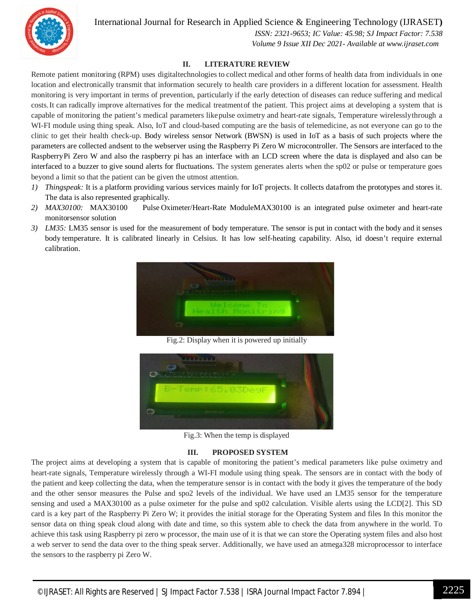

International Journal for Research in Applied Science & Engineering Technology (IJRASET**)**

 *ISSN: 2321-9653; IC Value: 45.98; SJ Impact Factor: 7.538 Volume 9 Issue XII Dec 2021- Available at www.ijraset.com*

#### **II. LITERATURE REVIEW**

Remote patient monitoring (RPM) uses digitaltechnologies to collect medical and other forms of health data from individuals in one location and electronically transmit that information securely to health care providers in a different location for assessment. Health monitoring is very important in terms of prevention, particularly if the early detection of diseases can reduce suffering and medical costs.It can radically improve alternatives for the medical treatmentof the patient. This project aims at developing a system that is capable of monitoring the patient's medical parameters likepulse oximetry and heart-rate signals, Temperature wirelesslythrough a WI-FI module using thing speak. Also, IoT and cloud-based computing are the basis of telemedicine, as not everyone can go to the clinic to get their health check-up. Body wireless sensor Network (BWSN) is used in IoT as a basis of such projects where the parameters are collected andsent to the webserver using the Raspberry Pi Zero W microcontroller. The Sensors are interfaced to the RaspberryPi Zero W and also the raspberry pi has an interface with an LCD screen where the data is displayed and also can be interfaced to a buzzer to give sound alerts for fluctuations. The system generates alerts when the sp02 or pulse or temperature goes beyond a limit so that the patient can be given the utmost attention.

- *1) Thingspeak:* It is a platform providing various services mainly for IoT projects. It collects datafrom the prototypes and stores it. The data is also represented graphically.
- *2) MAX30100:* MAX30100 Pulse Oximeter/Heart-Rate ModuleMAX30100 is an integrated pulse oximeter and heart-rate monitorsensor solution
- *3) LM35:* LM35 sensor is used for the measurement of body temperature. The sensor is put in contact with the body and it senses body temperature. It is calibrated linearly in Celsius. It has low self-heating capability. Also, id doesn't require external calibration.



Fig.2: Display when it is powered up initially



Fig.3: When the temp is displayed

#### **III. PROPOSED SYSTEM**

The project aims at developing a system that is capable of monitoring the patient's medical parameters like pulse oximetry and heart-rate signals, Temperature wirelessly through a WI-FI module using thing speak. The sensors are in contact with the body of the patient and keep collecting the data, when the temperature sensor is in contact with the body it gives the temperature of the body and the other sensor measures the Pulse and spo2 levels of the individual. We have used an LM35 sensor for the temperature sensing and used a MAX30100 as a pulse oximeter for the pulse and sp02 calculation. Visible alerts using the LCD[2]. This SD card is a key part of the Raspberry Pi Zero W; it provides the initial storage for the Operating System and files In this monitor the sensor data on thing speak cloud along with date and time, so this system able to check the data from anywhere in the world. To achieve this task using Raspberry pi zero w processor, the main use of it is that we can store the Operating system files and also host a web server to send the data over to the thing speak server. Additionally, we have used an atmega328 microprocessor to interface the sensors to the raspberry pi Zero W.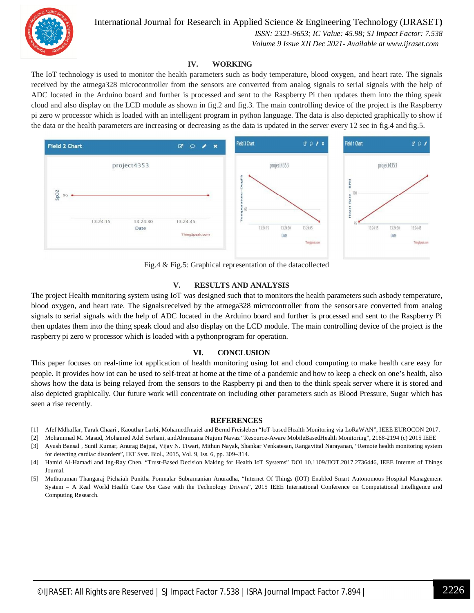

 *ISSN: 2321-9653; IC Value: 45.98; SJ Impact Factor: 7.538*

 *Volume 9 Issue XII Dec 2021- Available at www.ijraset.com*

#### **IV. WORKING**

The IoT technology is used to monitor the health parameters such as body temperature, blood oxygen, and heart rate. The signals received by the atmega328 microcontroller from the sensors are converted from analog signals to serial signals with the help of ADC located in the Arduino board and further is processed and sent to the Raspberry Pi then updates them into the thing speak cloud and also display on the LCD module as shown in fig.2 and fig.3. The main controlling device of the project is the Raspberry pi zero w processor which is loaded with an intelligent program in python language. The data is also depicted graphically to show if the data or the health parameters are increasing or decreasing as the data is updated in the server every 12 sec in fig.4 and fig.5.



Fig.4 & Fig.5: Graphical representation of the datacollected

#### **V. RESULTS AND ANALYSIS**

The project Health monitoring system using IoT was designed such that to monitors the health parameters such asbody temperature, blood oxygen, and heart rate. The signalsreceived by the atmega328 microcontroller from the sensors are converted from analog signals to serial signals with the help of ADC located in the Arduino board and further is processed and sent to the Raspberry Pi then updates them into the thing speak cloud and also display on the LCD module. The main controlling device of the project is the raspberry pi zero w processor which is loaded with a pythonprogram for operation.

#### **VI. CONCLUSION**

This paper focuses on real-time iot application of health monitoring using Iot and cloud computing to make health care easy for people. It provides how iot can be used to self-treat at home at the time of a pandemic and how to keep a check on one's health, also shows how the data is being relayed from the sensors to the Raspberry pi and then to the think speak server where it is stored and also depicted graphically. Our future work will concentrate on including other parameters such as Blood Pressure, Sugar which has seen a rise recently.

#### **REFERENCES**

- [1] Afef Mdhaffar, Tarak Chaari , Kaouthar Larbi, MohamedJmaiel and Bernd Freisleben "IoT-based Health Monitoring via LoRaWAN", IEEE EUROCON 2017.
- [2] Mohammad M. Masud, Mohamed Adel Serhani, andAlramzana Nujum Navaz "Resource-Aware MobileBasedHealth Monitoring", 2168-2194 (c) 2015 IEEE
- [3] Ayush Bansal , Sunil Kumar, Anurag Bajpai, Vijay N. Tiwari, Mithun Nayak, Shankar Venkatesan, Rangavittal Narayanan, "Remote health monitoring system for detecting cardiac disorders", IET Syst. Biol., 2015, Vol. 9, Iss. 6, pp. 309–314.
- [4] Hamid Al-Hamadi and Ing-Ray Chen, "Trust-Based Decision Making for Health IoT Systems" DOI 10.1109/JIOT.2017.2736446, IEEE Internet of Things Journal.
- [5] Muthuraman Thangaraj Pichaiah Punitha Ponmalar Subramanian Anuradha, "Internet Of Things (IOT) Enabled Smart Autonomous Hospital Management System – A Real World Health Care Use Case with the Technology Drivers", 2015 IEEE International Conference on Computational Intelligence and Computing Research.